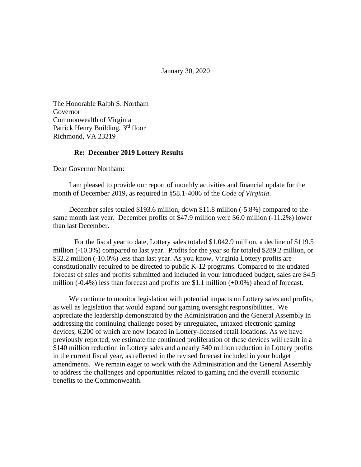January 30, 2020

The Honorable Ralph S. Northam Governor Commonwealth of Virginia Patrick Henry Building, 3<sup>rd</sup> floor Richmond, VA 23219

#### **Re: December 2019 Lottery Results**

Dear Governor Northam:

I am pleased to provide our report of monthly activities and financial update for the month of December 2019, as required in §58.1-4006 of the *Code of Virginia*.

December sales totaled \$193.6 million, down \$11.8 million (-5.8%) compared to the same month last year. December profits of \$47.9 million were \$6.0 million (-11.2%) lower than last December.

For the fiscal year to date, Lottery sales totaled \$1,042.9 million, a decline of \$119.5 million (-10.3%) compared to last year. Profits for the year so far totaled \$289.2 million, or \$32.2 million (-10.0%) less than last year. As you know, Virginia Lottery profits are constitutionally required to be directed to public K-12 programs. Compared to the updated forecast of sales and profits submitted and included in your introduced budget, sales are \$4.5 million (-0.4%) less than forecast and profits are \$1.1 million (+0.0%) ahead of forecast.

We continue to monitor legislation with potential impacts on Lottery sales and profits, as well as legislation that would expand our gaming oversight responsibilities. We appreciate the leadership demonstrated by the Administration and the General Assembly in addressing the continuing challenge posed by unregulated, untaxed electronic gaming devices, 6,200 of which are now located in Lottery-licensed retail locations. As we have previously reported, we estimate the continued proliferation of these devices will result in a \$140 million reduction in Lottery sales and a nearly \$40 million reduction in Lottery profits in the current fiscal year, as reflected in the revised forecast included in your budget amendments. We remain eager to work with the Administration and the General Assembly to address the challenges and opportunities related to gaming and the overall economic benefits to the Commonwealth.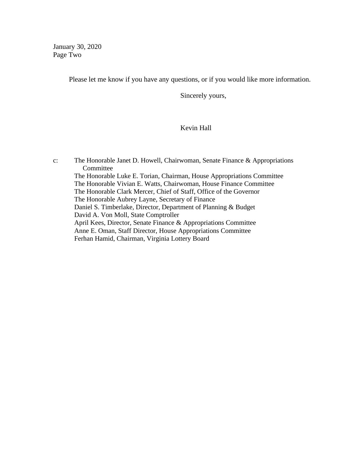January 30, 2020 Page Two

Please let me know if you have any questions, or if you would like more information.

Sincerely yours,

# Kevin Hall

c: The Honorable Janet D. Howell, Chairwoman, Senate Finance & Appropriations Committee The Honorable Luke E. Torian, Chairman, House Appropriations Committee The Honorable Vivian E. Watts, Chairwoman, House Finance Committee The Honorable Clark Mercer, Chief of Staff, Office of the Governor The Honorable Aubrey Layne, Secretary of Finance Daniel S. Timberlake, Director, Department of Planning & Budget David A. Von Moll, State Comptroller April Kees, Director, Senate Finance & Appropriations Committee Anne E. Oman, Staff Director, House Appropriations Committee Ferhan Hamid, Chairman, Virginia Lottery Board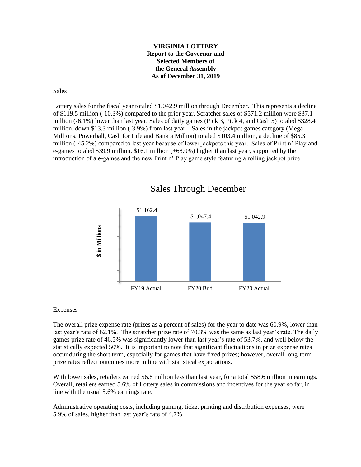### **VIRGINIA LOTTERY Report to the Governor and Selected Members of the General Assembly As of December 31, 2019**

#### Sales

Lottery sales for the fiscal year totaled \$1,042.9 million through December. This represents a decline of \$119.5 million (-10.3%) compared to the prior year. Scratcher sales of \$571.2 million were \$37.1 million (-6.1%) lower than last year. Sales of daily games (Pick 3, Pick 4, and Cash 5) totaled \$328.4 million, down \$13.3 million (-3.9%) from last year. Sales in the jackpot games category (Mega Millions, Powerball, Cash for Life and Bank a Million) totaled \$103.4 million, a decline of \$85.3 million (-45.2%) compared to last year because of lower jackpots this year. Sales of Print n' Play and e-games totaled \$39.9 million, \$16.1 million (+68.0%) higher than last year, supported by the introduction of a e-games and the new Print n' Play game style featuring a rolling jackpot prize.



## **Expenses**

The overall prize expense rate (prizes as a percent of sales) for the year to date was 60.9%, lower than last year's rate of 62.1%. The scratcher prize rate of 70.3% was the same as last year's rate. The daily games prize rate of 46.5% was significantly lower than last year's rate of 53.7%, and well below the statistically expected 50%. It is important to note that significant fluctuations in prize expense rates occur during the short term, especially for games that have fixed prizes; however, overall long-term prize rates reflect outcomes more in line with statistical expectations.

With lower sales, retailers earned \$6.8 million less than last year, for a total \$58.6 million in earnings. Overall, retailers earned 5.6% of Lottery sales in commissions and incentives for the year so far, in line with the usual 5.6% earnings rate.

Administrative operating costs, including gaming, ticket printing and distribution expenses, were 5.9% of sales, higher than last year's rate of 4.7%.